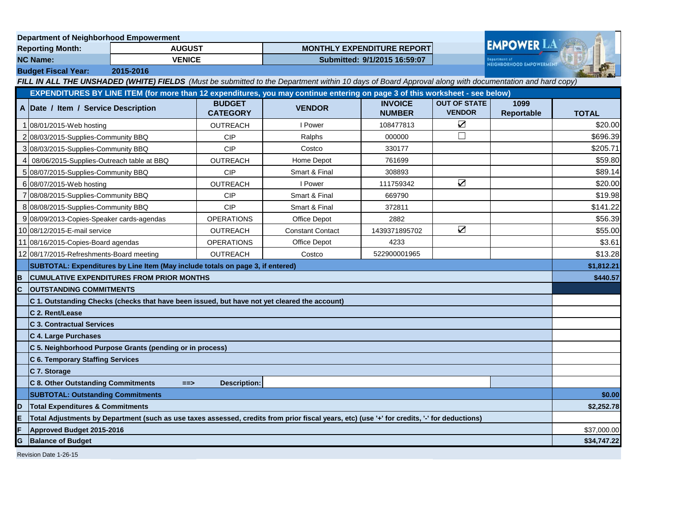| <b>Department of Neighborhood Empowerment</b>                                                                                                         |                                                                                                                                              |                                                          |                                  |                         |                                   |                                      |                    |              |
|-------------------------------------------------------------------------------------------------------------------------------------------------------|----------------------------------------------------------------------------------------------------------------------------------------------|----------------------------------------------------------|----------------------------------|-------------------------|-----------------------------------|--------------------------------------|--------------------|--------------|
| <b>Reporting Month:</b>                                                                                                                               |                                                                                                                                              | <b>AUGUST</b>                                            |                                  |                         | <b>MONTHLY EXPENDITURE REPORT</b> |                                      | <b>EMPOWER LA</b>  |              |
| <b>NC Name:</b><br><b>VENICE</b>                                                                                                                      |                                                                                                                                              |                                                          | Submitted: 9/1/2015 16:59:07     |                         |                                   | <b>NEIGHBORHOOD EMPOWERMENT</b>      |                    |              |
|                                                                                                                                                       | 2015-2016<br><b>Budget Fiscal Year:</b>                                                                                                      |                                                          |                                  |                         |                                   |                                      |                    |              |
| FILL IN ALL THE UNSHADED (WHITE) FIELDS (Must be submitted to the Department within 10 days of Board Approval along with documentation and hard copy) |                                                                                                                                              |                                                          |                                  |                         |                                   |                                      |                    |              |
| EXPENDITURES BY LINE ITEM (for more than 12 expenditures, you may continue entering on page 3 of this worksheet - see below)                          |                                                                                                                                              |                                                          |                                  |                         |                                   |                                      |                    |              |
|                                                                                                                                                       | A Date / Item / Service Description                                                                                                          |                                                          | <b>BUDGET</b><br><b>CATEGORY</b> | <b>VENDOR</b>           | <b>INVOICE</b><br><b>NUMBER</b>   | <b>OUT OF STATE</b><br><b>VENDOR</b> | 1099<br>Reportable | <b>TOTAL</b> |
|                                                                                                                                                       | 08/01/2015-Web hosting                                                                                                                       |                                                          | <b>OUTREACH</b>                  | I Power                 | 108477813                         | $\blacktriangledown$                 |                    | \$20.00      |
|                                                                                                                                                       | 2 08/03/2015-Supplies-Community BBQ                                                                                                          |                                                          | <b>CIP</b>                       | Ralphs                  | 000000                            | П                                    |                    | \$696.39     |
| 3                                                                                                                                                     | 08/03/2015-Supplies-Community BBQ                                                                                                            |                                                          | <b>CIP</b>                       | Costco                  | 330177                            |                                      |                    | \$205.71     |
|                                                                                                                                                       | 08/06/2015-Supplies-Outreach table at BBQ                                                                                                    |                                                          | <b>OUTREACH</b>                  | Home Depot              | 761699                            |                                      |                    | \$59.80      |
|                                                                                                                                                       | 08/07/2015-Supplies-Community BBQ                                                                                                            |                                                          | <b>CIP</b>                       | Smart & Final           | 308893                            |                                      |                    | \$89.14      |
|                                                                                                                                                       | 6 08/07/2015-Web hosting                                                                                                                     |                                                          | <b>OUTREACH</b>                  | I Power                 | 111759342                         | $\sum$                               |                    | \$20.00      |
|                                                                                                                                                       | 08/08/2015-Supplies-Community BBQ                                                                                                            |                                                          | <b>CIP</b>                       | Smart & Final           | 669790                            |                                      |                    | \$19.98      |
|                                                                                                                                                       | 8 08/08/2015-Supplies-Community BBQ                                                                                                          |                                                          | <b>CIP</b>                       | Smart & Final           | 372811                            |                                      |                    | \$141.22     |
|                                                                                                                                                       | 9 08/09/2013 Copies-Speaker cards-agendas                                                                                                    |                                                          | <b>OPERATIONS</b>                | Office Depot            | 2882                              |                                      |                    | \$56.39      |
|                                                                                                                                                       | 10 08/12/2015-E-mail service                                                                                                                 |                                                          | <b>OUTREACH</b>                  | <b>Constant Contact</b> | 1439371895702                     | $\sum$                               |                    | \$55.00      |
|                                                                                                                                                       | 11 08/16/2015 Copies-Board agendas                                                                                                           |                                                          | <b>OPERATIONS</b>                | Office Depot            | 4233                              |                                      |                    | \$3.61       |
|                                                                                                                                                       | 12 08/17/2015-Refreshments-Board meeting                                                                                                     |                                                          | <b>OUTREACH</b>                  | Costco                  | 522900001965                      |                                      |                    | \$13.28      |
|                                                                                                                                                       | SUBTOTAL: Expenditures by Line Item (May include totals on page 3, if entered)                                                               |                                                          |                                  |                         |                                   |                                      |                    | \$1,812.21   |
| B                                                                                                                                                     | <b>CUMULATIVE EXPENDITURES FROM PRIOR MONTHS</b>                                                                                             |                                                          |                                  |                         |                                   |                                      | \$440.57           |              |
| C                                                                                                                                                     | <b>OUTSTANDING COMMITMENTS</b>                                                                                                               |                                                          |                                  |                         |                                   |                                      |                    |              |
|                                                                                                                                                       | C 1. Outstanding Checks (checks that have been issued, but have not yet cleared the account)                                                 |                                                          |                                  |                         |                                   |                                      |                    |              |
|                                                                                                                                                       | C 2. Rent/Lease                                                                                                                              |                                                          |                                  |                         |                                   |                                      |                    |              |
|                                                                                                                                                       | <b>C 3. Contractual Services</b>                                                                                                             |                                                          |                                  |                         |                                   |                                      |                    |              |
|                                                                                                                                                       | C 4. Large Purchases                                                                                                                         |                                                          |                                  |                         |                                   |                                      |                    |              |
|                                                                                                                                                       |                                                                                                                                              | C 5. Neighborhood Purpose Grants (pending or in process) |                                  |                         |                                   |                                      |                    |              |
|                                                                                                                                                       | <b>C 6. Temporary Staffing Services</b>                                                                                                      |                                                          |                                  |                         |                                   |                                      |                    |              |
|                                                                                                                                                       | C 7. Storage                                                                                                                                 |                                                          |                                  |                         |                                   |                                      |                    |              |
|                                                                                                                                                       | <b>C 8. Other Outstanding Commitments</b>                                                                                                    | $==$                                                     | <b>Description:</b>              |                         |                                   |                                      |                    |              |
|                                                                                                                                                       | <b>SUBTOTAL: Outstanding Commitments</b>                                                                                                     |                                                          |                                  |                         |                                   |                                      | \$0.00             |              |
| ID                                                                                                                                                    | <b>Total Expenditures &amp; Commitments</b>                                                                                                  |                                                          |                                  |                         |                                   |                                      |                    | \$2,252.78   |
| E                                                                                                                                                     | Total Adjustments by Department (such as use taxes assessed, credits from prior fiscal years, etc) (use '+' for credits, '-' for deductions) |                                                          |                                  |                         |                                   |                                      |                    |              |
| Approved Budget 2015-2016                                                                                                                             |                                                                                                                                              |                                                          |                                  |                         |                                   | \$37,000.00                          |                    |              |
| G<br><b>Balance of Budget</b>                                                                                                                         |                                                                                                                                              |                                                          |                                  |                         |                                   | \$34,747.22                          |                    |              |
| Revision Date 1-26-15                                                                                                                                 |                                                                                                                                              |                                                          |                                  |                         |                                   |                                      |                    |              |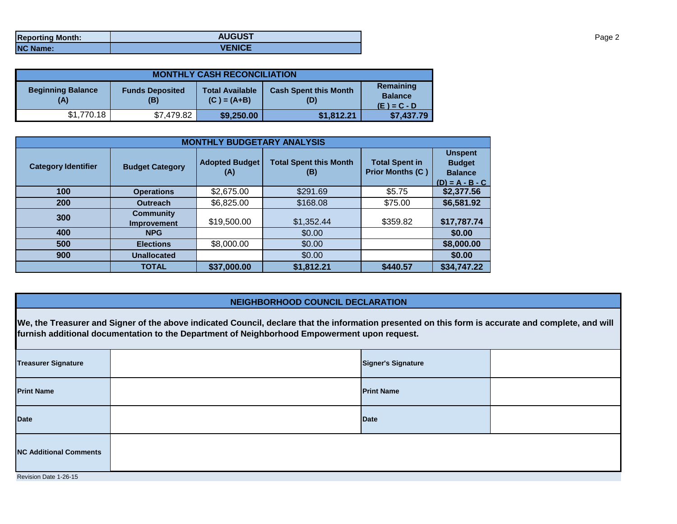| <b>Reporting Month:</b> | <b>AUGUST</b> |
|-------------------------|---------------|
| <b>NC Name:</b>         | <b>VENICE</b> |

| <b>MONTHLY CASH RECONCILIATION</b>                               |            |                                                                                |            |                                              |  |  |  |
|------------------------------------------------------------------|------------|--------------------------------------------------------------------------------|------------|----------------------------------------------|--|--|--|
| <b>Beginning Balance</b><br><b>Funds Deposited</b><br>(A)<br>(B) |            | <b>Cash Spent this Month</b><br><b>Total Available</b><br>$(C) = (A+B)$<br>(D) |            | Remaining<br><b>Balance</b><br>$(E) = C - D$ |  |  |  |
| \$1,770.18                                                       | \$7,479.82 | \$9,250.00                                                                     | \$1,812.21 | \$7,437.79                                   |  |  |  |

| <b>MONTHLY BUDGETARY ANALYSIS</b> |                                        |                              |                                      |                                                  |                                                                        |  |  |
|-----------------------------------|----------------------------------------|------------------------------|--------------------------------------|--------------------------------------------------|------------------------------------------------------------------------|--|--|
| <b>Category Identifier</b>        | <b>Budget Category</b>                 | <b>Adopted Budget</b><br>(A) | <b>Total Spent this Month</b><br>(B) | <b>Total Spent in</b><br><b>Prior Months (C)</b> | <b>Unspent</b><br><b>Budget</b><br><b>Balance</b><br>$(D) = A - B - C$ |  |  |
| 100                               | <b>Operations</b>                      | \$2,675.00                   | \$291.69                             | \$5.75                                           | \$2,377.56                                                             |  |  |
| 200                               | <b>Outreach</b>                        | \$6,825.00                   | \$168.08                             | \$75.00                                          | \$6,581.92                                                             |  |  |
| 300                               | <b>Community</b><br><b>Improvement</b> | \$19,500.00                  | \$1,352.44                           | \$359.82                                         | \$17,787.74                                                            |  |  |
| 400                               | <b>NPG</b>                             |                              | \$0.00                               |                                                  | \$0.00                                                                 |  |  |
| 500                               | <b>Elections</b>                       | \$8,000.00                   | \$0.00                               |                                                  | \$8,000.00                                                             |  |  |
| 900                               | <b>Unallocated</b>                     |                              | \$0.00                               |                                                  | \$0.00                                                                 |  |  |
|                                   | <b>TOTAL</b>                           | \$37,000.00                  | \$1,812.21                           | \$440.57                                         | \$34,747.22                                                            |  |  |

## **NEIGHBORHOOD COUNCIL DECLARATION**

**We, the Treasurer and Signer of the above indicated Council, declare that the information presented on this form is accurate and complete, and will furnish additional documentation to the Department of Neighborhood Empowerment upon request.**

| <b>Treasurer Signature</b>    |  | <b>Signer's Signature</b> |  |  |  |  |
|-------------------------------|--|---------------------------|--|--|--|--|
| <b>Print Name</b>             |  | <b>Print Name</b>         |  |  |  |  |
| <b>Date</b>                   |  | <b>Date</b>               |  |  |  |  |
| <b>NC Additional Comments</b> |  |                           |  |  |  |  |
| Revision Date 1-26-15         |  |                           |  |  |  |  |